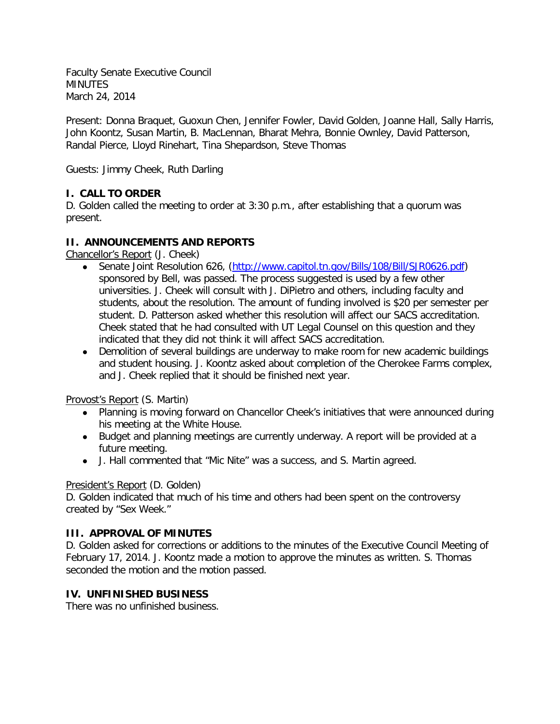Faculty Senate Executive Council **MINUTES** March 24, 2014

Present: Donna Braquet, Guoxun Chen, Jennifer Fowler, David Golden, Joanne Hall, Sally Harris, John Koontz, Susan Martin, B. MacLennan, Bharat Mehra, Bonnie Ownley, David Patterson, Randal Pierce, Lloyd Rinehart, Tina Shepardson, Steve Thomas

Guests: Jimmy Cheek, Ruth Darling

## **I. CALL TO ORDER**

D. Golden called the meeting to order at 3:30 p.m., after establishing that a quorum was present.

## **II. ANNOUNCEMENTS AND REPORTS**

Chancellor's Report (J. Cheek)

- Senate Joint Resolution 626, [\(http://www.capitol.tn.gov/Bills/108/Bill/SJR0626.pdf\)](http://www.capitol.tn.gov/Bills/108/Bill/SJR0626.pdf) sponsored by Bell, was passed. The process suggested is used by a few other universities. J. Cheek will consult with J. DiPietro and others, including faculty and students, about the resolution. The amount of funding involved is \$20 per semester per student. D. Patterson asked whether this resolution will affect our SACS accreditation. Cheek stated that he had consulted with UT Legal Counsel on this question and they indicated that they did not think it will affect SACS accreditation.
- Demolition of several buildings are underway to make room for new academic buildings and student housing. J. Koontz asked about completion of the Cherokee Farms complex, and J. Cheek replied that it should be finished next year.

Provost's Report (S. Martin)

- Planning is moving forward on Chancellor Cheek's initiatives that were announced during his meeting at the White House.
- Budget and planning meetings are currently underway. A report will be provided at a future meeting.
- J. Hall commented that "Mic Nite" was a success, and S. Martin agreed.

### President's Report (D. Golden)

D. Golden indicated that much of his time and others had been spent on the controversy created by "Sex Week."

## **III. APPROVAL OF MINUTES**

D. Golden asked for corrections or additions to the minutes of the Executive Council Meeting of February 17, 2014. J. Koontz made a motion to approve the minutes as written. S. Thomas seconded the motion and the motion passed.

### **IV. UNFINISHED BUSINESS**

There was no unfinished business.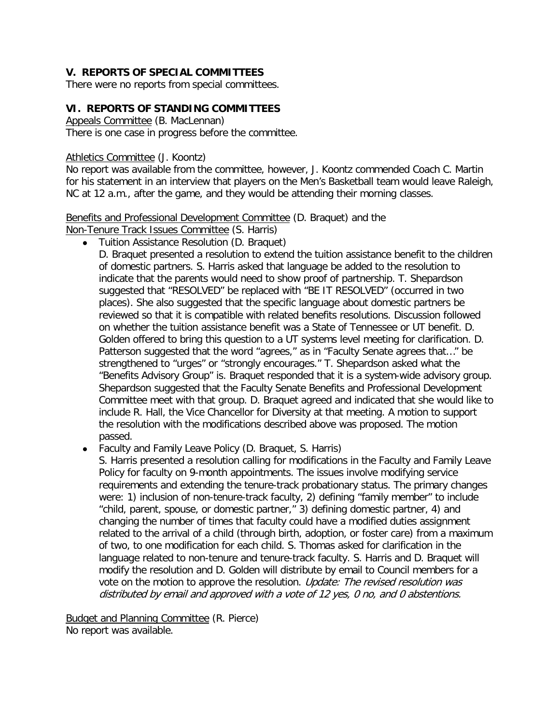## **V. REPORTS OF SPECIAL COMMITTEES**

There were no reports from special committees.

### **VI. REPORTS OF STANDING COMMITTEES**

Appeals Committee (B. MacLennan) There is one case in progress before the committee.

#### Athletics Committee (J. Koontz)

No report was available from the committee, however, J. Koontz commended Coach C. Martin for his statement in an interview that players on the Men's Basketball team would leave Raleigh, NC at 12 a.m., after the game, and they would be attending their morning classes.

Benefits and Professional Development Committee (D. Braquet) and the

Non-Tenure Track Issues Committee (S. Harris)

● Tuition Assistance Resolution (D. Braquet)

D. Braquet presented a resolution to extend the tuition assistance benefit to the children of domestic partners. S. Harris asked that language be added to the resolution to indicate that the parents would need to show proof of partnership. T. Shepardson suggested that "RESOLVED" be replaced with "BE IT RESOLVED" (occurred in two places). She also suggested that the specific language about domestic partners be reviewed so that it is compatible with related benefits resolutions. Discussion followed on whether the tuition assistance benefit was a State of Tennessee or UT benefit. D. Golden offered to bring this question to a UT systems level meeting for clarification. D. Patterson suggested that the word "agrees," as in "Faculty Senate agrees that…" be strengthened to "urges" or "strongly encourages." T. Shepardson asked what the "Benefits Advisory Group" is. Braquet responded that it is a system-wide advisory group. Shepardson suggested that the Faculty Senate Benefits and Professional Development Committee meet with that group. D. Braquet agreed and indicated that she would like to include R. Hall, the Vice Chancellor for Diversity at that meeting. A motion to support the resolution with the modifications described above was proposed. The motion passed.

• Faculty and Family Leave Policy (D. Braquet, S. Harris)

S. Harris presented a resolution calling for modifications in the Faculty and Family Leave Policy for faculty on 9-month appointments. The issues involve modifying service requirements and extending the tenure-track probationary status. The primary changes were: 1) inclusion of non-tenure-track faculty, 2) defining "family member" to include "child, parent, spouse, or domestic partner," 3) defining domestic partner, 4) and changing the number of times that faculty could have a modified duties assignment related to the arrival of a child (through birth, adoption, or foster care) from a maximum of two, to one modification for each child. S. Thomas asked for clarification in the language related to non-tenure and tenure-track faculty. S. Harris and D. Braquet will modify the resolution and D. Golden will distribute by email to Council members for a vote on the motion to approve the resolution. Update: The revised resolution was distributed by email and approved with a vote of 12 yes, 0 no, and 0 abstentions.

Budget and Planning Committee (R. Pierce) No report was available.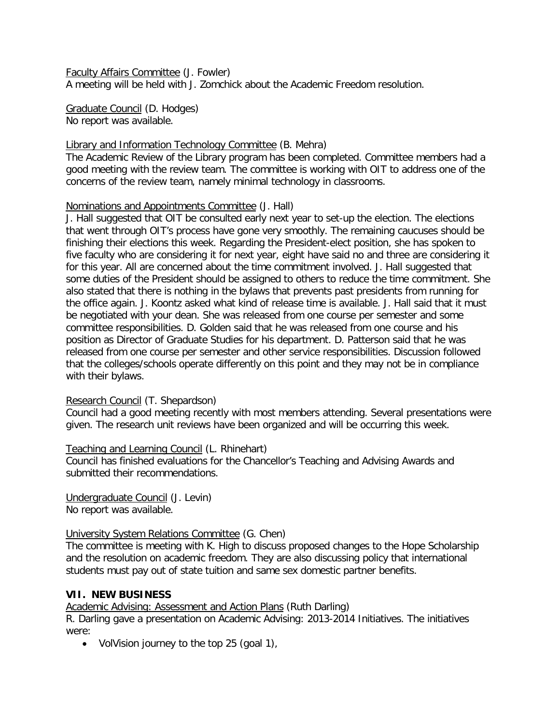Faculty Affairs Committee (J. Fowler) A meeting will be held with J. Zomchick about the Academic Freedom resolution.

Graduate Council (D. Hodges) No report was available.

### Library and Information Technology Committee (B. Mehra)

The Academic Review of the Library program has been completed. Committee members had a good meeting with the review team. The committee is working with OIT to address one of the concerns of the review team, namely minimal technology in classrooms.

#### Nominations and Appointments Committee (J. Hall)

J. Hall suggested that OIT be consulted early next year to set-up the election. The elections that went through OIT's process have gone very smoothly. The remaining caucuses should be finishing their elections this week. Regarding the President-elect position, she has spoken to five faculty who are considering it for next year, eight have said no and three are considering it for this year. All are concerned about the time commitment involved. J. Hall suggested that some duties of the President should be assigned to others to reduce the time commitment. She also stated that there is nothing in the bylaws that prevents past presidents from running for the office again. J. Koontz asked what kind of release time is available. J. Hall said that it must be negotiated with your dean. She was released from one course per semester and some committee responsibilities. D. Golden said that he was released from one course and his position as Director of Graduate Studies for his department. D. Patterson said that he was released from one course per semester and other service responsibilities. Discussion followed that the colleges/schools operate differently on this point and they may not be in compliance with their bylaws.

#### Research Council (T. Shepardson)

Council had a good meeting recently with most members attending. Several presentations were given. The research unit reviews have been organized and will be occurring this week.

#### Teaching and Learning Council (L. Rhinehart)

Council has finished evaluations for the Chancellor's Teaching and Advising Awards and submitted their recommendations.

Undergraduate Council (J. Levin) No report was available.

#### University System Relations Committee (G. Chen)

The committee is meeting with K. High to discuss proposed changes to the Hope Scholarship and the resolution on academic freedom. They are also discussing policy that international students must pay out of state tuition and same sex domestic partner benefits.

#### **VII. NEW BUSINESS**

Academic Advising: Assessment and Action Plans (Ruth Darling)

R. Darling gave a presentation on Academic Advising: 2013-2014 Initiatives. The initiatives were:

• VolVision journey to the top 25 (goal 1),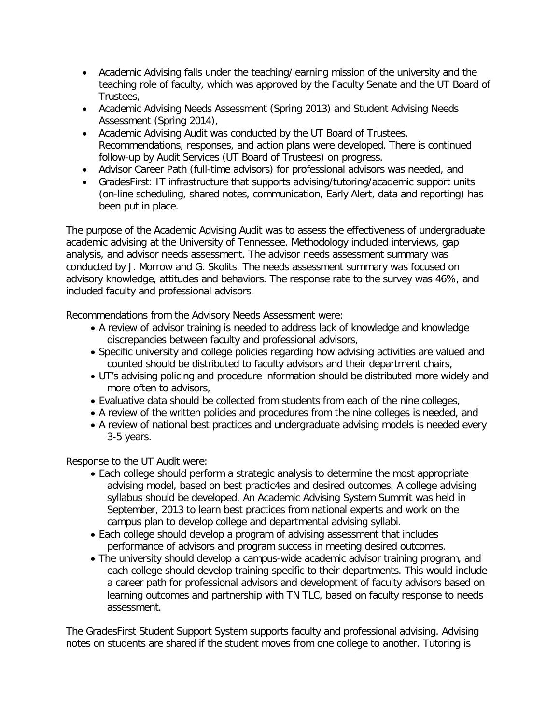- Academic Advising falls under the teaching/learning mission of the university and the teaching role of faculty, which was approved by the Faculty Senate and the UT Board of Trustees,
- Academic Advising Needs Assessment (Spring 2013) and Student Advising Needs Assessment (Spring 2014),
- Academic Advising Audit was conducted by the UT Board of Trustees. Recommendations, responses, and action plans were developed. There is continued follow-up by Audit Services (UT Board of Trustees) on progress.
- Advisor Career Path (full-time advisors) for professional advisors was needed, and
- GradesFirst: IT infrastructure that supports advising/tutoring/academic support units (on-line scheduling, shared notes, communication, Early Alert, data and reporting) has been put in place.

The purpose of the Academic Advising Audit was to assess the effectiveness of undergraduate academic advising at the University of Tennessee. Methodology included interviews, gap analysis, and advisor needs assessment. The advisor needs assessment summary was conducted by J. Morrow and G. Skolits. The needs assessment summary was focused on advisory knowledge, attitudes and behaviors. The response rate to the survey was 46%, and included faculty and professional advisors.

Recommendations from the Advisory Needs Assessment were:

- A review of advisor training is needed to address lack of knowledge and knowledge discrepancies between faculty and professional advisors,
- Specific university and college policies regarding how advising activities are valued and counted should be distributed to faculty advisors and their department chairs,
- UT's advising policing and procedure information should be distributed more widely and more often to advisors,
- Evaluative data should be collected from students from each of the nine colleges,
- A review of the written policies and procedures from the nine colleges is needed, and
- A review of national best practices and undergraduate advising models is needed every 3-5 years.

Response to the UT Audit were:

- Each college should perform a strategic analysis to determine the most appropriate advising model, based on best practic4es and desired outcomes. A college advising syllabus should be developed. An Academic Advising System Summit was held in September, 2013 to learn best practices from national experts and work on the campus plan to develop college and departmental advising syllabi.
- Each college should develop a program of advising assessment that includes performance of advisors and program success in meeting desired outcomes.
- The university should develop a campus-wide academic advisor training program, and each college should develop training specific to their departments. This would include a career path for professional advisors and development of faculty advisors based on learning outcomes and partnership with TN TLC, based on faculty response to needs assessment.

The GradesFirst Student Support System supports faculty and professional advising. Advising notes on students are shared if the student moves from one college to another. Tutoring is